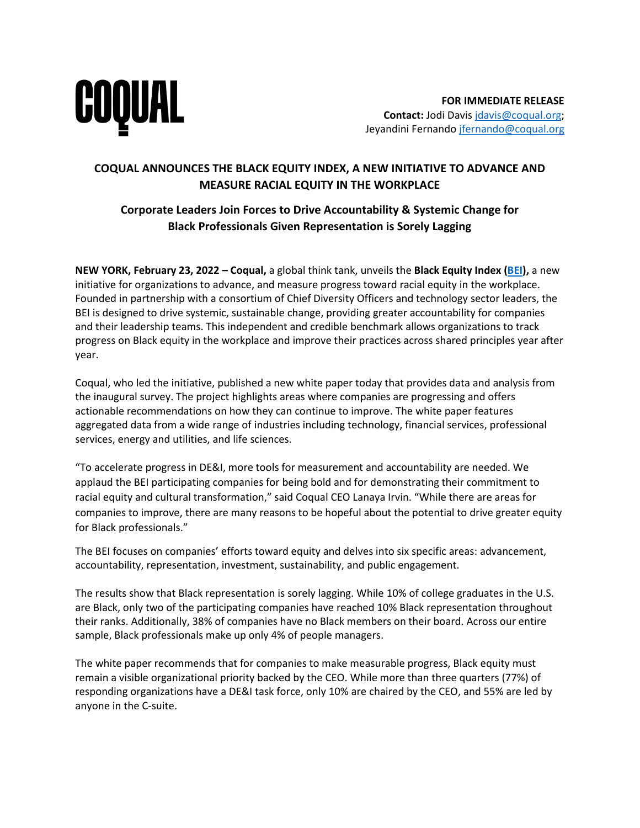

## **COQUAL ANNOUNCES THE BLACK EQUITY INDEX, A NEW INITIATIVE TO ADVANCE AND MEASURE RACIAL EQUITY IN THE WORKPLACE**

## **Corporate Leaders Join Forces to Drive Accountability & Systemic Change for Black Professionals Given Representation is Sorely Lagging**

**NEW YORK, February 23, 2022 – Coqual,** a global think tank, unveils the **Black Equity Index [\(BEI\)](https://coqual.org/black-equity-index/),** a new initiative for organizations to advance, and measure progress toward racial equity in the workplace. Founded in partnership with a consortium of Chief Diversity Officers and technology sector leaders, the BEI is designed to drive systemic, sustainable change, providing greater accountability for companies and their leadership teams. This independent and credible benchmark allows organizations to track progress on Black equity in the workplace and improve their practices across shared principles year after year.

Coqual, who led the initiative, published a new white paper today that provides data and analysis from the inaugural survey. The project highlights areas where companies are progressing and offers actionable recommendations on how they can continue to improve. The white paper features aggregated data from a wide range of industries including technology, financial services, professional services, energy and utilities, and life sciences.

"To accelerate progress in DE&I, more tools for measurement and accountability are needed. We applaud the BEI participating companies for being bold and for demonstrating their commitment to racial equity and cultural transformation," said Coqual CEO Lanaya Irvin. "While there are areas for companies to improve, there are many reasons to be hopeful about the potential to drive greater equity for Black professionals."

The BEI focuses on companies' efforts toward equity and delves into six specific areas: advancement, accountability, representation, investment, sustainability, and public engagement.

The results show that Black representation is sorely lagging. While 10% of college graduates in the U.S. are Black, only two of the participating companies have reached 10% Black representation throughout their ranks. Additionally, 38% of companies have no Black members on their board. Across our entire sample, Black professionals make up only 4% of people managers.

The white paper recommends that for companies to make measurable progress, Black equity must remain a visible organizational priority backed by the CEO. While more than three quarters (77%) of responding organizations have a DE&I task force, only 10% are chaired by the CEO, and 55% are led by anyone in the C-suite.